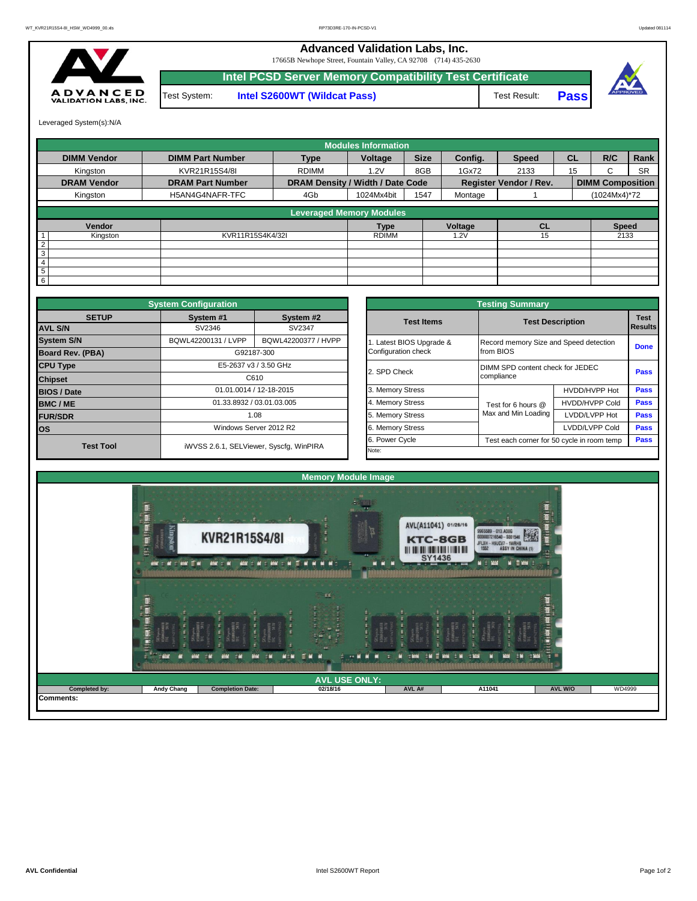## **Advanced Validation Labs, Inc.**

17665B Newhope Street, Fountain Valley, CA 92708 (714) 435-2630



**Intel PCSD Server Memory Compatibility Test Certificate** Test System: **Intel S2600WT (Wildcat Pass)** Test Result: **Pass** 



Leveraged System(s):N/A

|                    |                         |              | <b>Modules Information</b>       |             |              |                               |           |                         |           |  |  |
|--------------------|-------------------------|--------------|----------------------------------|-------------|--------------|-------------------------------|-----------|-------------------------|-----------|--|--|
| <b>DIMM Vendor</b> | <b>DIMM Part Number</b> | <b>Type</b>  | Voltage                          | <b>Size</b> | Config.      | <b>Speed</b>                  | <b>CL</b> | R/C                     | Rank      |  |  |
| Kingston           | KVR21R15S4/8I           | <b>RDIMM</b> | 1.2V                             | 8GB         | 1Gx72        | 2133                          | 15        | C.                      | <b>SR</b> |  |  |
| <b>DRAM Vendor</b> | <b>DRAM Part Number</b> |              | DRAM Density / Width / Date Code |             |              | <b>Register Vendor / Rev.</b> |           | <b>DIMM Composition</b> |           |  |  |
| Kingston           | H5AN4G4NAFR-TFC         | 4Gb          | 1024Mx4bit                       | 1547        | Montage      |                               |           | (1024Mx4)*72            |           |  |  |
|                    |                         |              | <b>Leveraged Memory Modules</b>  |             |              |                               |           |                         |           |  |  |
| Vendor             | Voltage<br><b>Type</b>  |              | <b>CL</b>                        |             | <b>Speed</b> |                               |           |                         |           |  |  |
| Kingston           | KVR11R15S4K4/32I        |              | <b>RDIMM</b>                     |             | 1.2V         | 15                            |           |                         | 2133      |  |  |
| $\overline{2}$     |                         |              |                                  |             |              |                               |           |                         |           |  |  |
| 3                  |                         |              |                                  |             |              |                               |           |                         |           |  |  |
| $\overline{4}$     |                         |              |                                  |             |              |                               |           |                         |           |  |  |
| 5                  |                         |              |                                  |             |              |                               |           |                         |           |  |  |
| 6                  |                         |              |                                  |             |              |                               |           |                         |           |  |  |

|                         | <b>System Configuration</b>                                         |                                         |                                        | <b>Testing Summary</b>                                       |                     |                                  |                        |  |  |  |  |  |
|-------------------------|---------------------------------------------------------------------|-----------------------------------------|----------------------------------------|--------------------------------------------------------------|---------------------|----------------------------------|------------------------|--|--|--|--|--|
| <b>SETUP</b>            | System #1                                                           | System #2                               |                                        | <b>Test Items</b>                                            |                     | <b>Test Description</b>          | <b>Test</b><br>Results |  |  |  |  |  |
| <b>AVL S/N</b>          | SV2346                                                              | SV2347                                  |                                        |                                                              |                     |                                  |                        |  |  |  |  |  |
| <b>System S/N</b>       | BQWL42200131 / LVPP<br>BQWL42200377 / HVPP<br>Latest BIOS Upgrade & |                                         | Record memory Size and Speed detection |                                                              |                     |                                  |                        |  |  |  |  |  |
| <b>Board Rev. (PBA)</b> |                                                                     | G92187-300                              |                                        | Configuration check                                          | from BIOS           |                                  | <b>Done</b>            |  |  |  |  |  |
| <b>CPU Type</b>         |                                                                     | E5-2637 v3 / 3.50 GHz                   |                                        | 2. SPD Check                                                 |                     | DIMM SPD content check for JEDEC |                        |  |  |  |  |  |
| <b>Chipset</b>          |                                                                     | C610                                    |                                        |                                                              | compliance          | Pass                             |                        |  |  |  |  |  |
| <b>BIOS / Date</b>      |                                                                     | 01.01.0014 / 12-18-2015                 |                                        | 3. Memory Stress                                             |                     | HVDD/HVPP Hot                    | <b>Pass</b>            |  |  |  |  |  |
| <b>BMC/ME</b>           |                                                                     | 01.33.8932 / 03.01.03.005               |                                        | 4. Memory Stress                                             | Test for 6 hours @  | <b>HVDD/HVPP Cold</b>            | Pass                   |  |  |  |  |  |
| <b>FUR/SDR</b>          |                                                                     | 1.08                                    |                                        |                                                              | Max and Min Loading | LVDD/LVPP Hot                    | Pass                   |  |  |  |  |  |
| <b>los</b>              |                                                                     | Windows Server 2012 R2                  |                                        | 6. Memory Stress                                             |                     | LVDD/LVPP Cold                   | Pass                   |  |  |  |  |  |
| <b>Test Tool</b>        |                                                                     | iWVSS 2.6.1, SELViewer, Syscfq, WinPIRA |                                        | 6. Power Cycle<br>Test each corner for 50 cycle in room temp |                     |                                  |                        |  |  |  |  |  |
|                         |                                                                     |                                         |                                        | Note:                                                        |                     |                                  |                        |  |  |  |  |  |

|              | <b>System Configuration</b> |                                         |                                                              | <b>Testing Summary</b>                         |                       |      |  |  |  |
|--------------|-----------------------------|-----------------------------------------|--------------------------------------------------------------|------------------------------------------------|-----------------------|------|--|--|--|
| <b>SETUP</b> | System #1                   | System #2                               | <b>Test Items</b>                                            | <b>Test Description</b>                        |                       |      |  |  |  |
|              | SV2346                      | SV2347                                  |                                                              |                                                |                       |      |  |  |  |
|              | BQWL42200131 / LVPP         | BQWL42200377 / HVPP                     | Latest BIOS Upgrade &                                        | Record memory Size and Speed detection         |                       |      |  |  |  |
| PBA)         |                             | G92187-300                              | Configuration check                                          | from BIOS                                      |                       |      |  |  |  |
|              |                             | E5-2637 v3 / 3.50 GHz                   | 2. SPD Check                                                 | DIMM SPD content check for JEDEC<br>compliance |                       |      |  |  |  |
|              |                             | C610                                    |                                                              |                                                |                       |      |  |  |  |
|              |                             | 01.01.0014 / 12-18-2015                 | 3. Memory Stress                                             |                                                | HVDD/HVPP Hot         |      |  |  |  |
|              |                             | 01.33.8932 / 03.01.03.005               | 4. Memory Stress<br>Test for 6 hours @                       |                                                | <b>HVDD/HVPP Cold</b> | Pass |  |  |  |
|              |                             | 1.08                                    | 5. Memory Stress                                             | Max and Min Loading                            | LVDD/LVPP Hot         |      |  |  |  |
|              |                             | Windows Server 2012 R2                  | 6. Memory Stress                                             | LVDD/LVPP Cold                                 |                       |      |  |  |  |
|              |                             |                                         | 6. Power Cycle<br>Test each corner for 50 cycle in room temp |                                                |                       |      |  |  |  |
| est Tool     |                             | iWVSS 2.6.1, SELViewer, Syscfg, WinPIRA | Note:                                                        |                                                |                       |      |  |  |  |